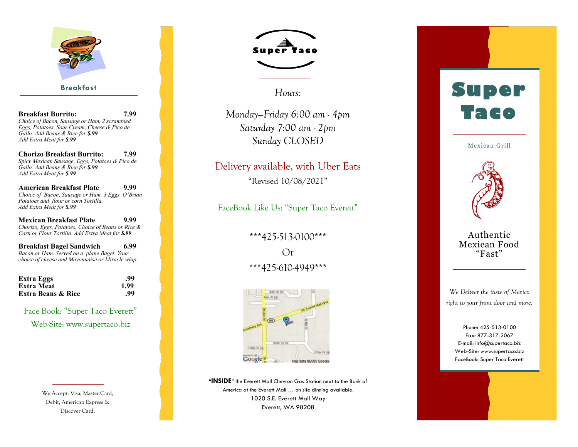

#### **Breakfast**

**Breakfast Burrito: 7.99** *Choice of Bacon, Sausage or Ham, 2 scrambled Eggs, Potatoes, Sour Cream, Cheese & Pico de Gallo. Add Beans & Rice for \$.99 Add Extra Meat for \$.99*

**Chorizo Breakfast Burrito: 7.99** *Spicy Mexican Sausage, Eggs, Potatoes & Pico de Gallo. Add Beans & Rice for \$.99 Add Extra Meat for \$.99*

**American Breakfast Plate 9.99** *Choice of Bacon, Sausage or Ham, 3 Eggs, O 'Brian Potatoes and flour or corn Tortilla. Add Extra Meat for \$.99*

**Mexican Breakfast Plate 9.99** *Chorizo, Eggs, Potatoes, Choice of Beans or Rice & Corn or Flour Tortilla. Add Extra Meat for \$.99*

**Breakfast Bagel Sandwich 6.99** *Bacon or Ham. Served on a plane Bagel. Your choice of cheese and Mayonnaise or Miracle whip.*

| Extra Eggs<br>Extra Meat<br><b>Extra Beans &amp; Rice</b> | .99  |  |
|-----------------------------------------------------------|------|--|
|                                                           | 1.99 |  |
|                                                           | .99  |  |

Face Book: "Super Taco Everett" Web -Site: www.supertaco.biz

> We Accept: Visa, Master Card, Debit, American Express & Discover Card.



*Hours:*

*Monday —Friday 6:00 am - 4pm 7:00 am - 2pm CLOSED*

## Delivery available, with Uber Eats

"Revised 10/08/2021"

FaceBook Like Us: "Super Taco Everett"

### \*\*\*425 -513 -0100\*\*\*

Or \*\*\*425 -610 -4949\*\*\*



"**INSIDE**" the Everett Mall Chevron Gas Station next to the Bank of America at the Everett Mall … on site dinning available. 1020 S.E. Everett Mall Way Everett, WA 98208

# **Super Taco**

Mexican Grill



#### Authentic Mexican Food "Fast"

*We Deliver the taste of Mexico right to your front door and more.*

> Phone: 425-513-0100 Fax: 877 -317 -2067 E -mail: info@supertaco.biz Web -Site: www.supertaco.biz FaceBook: Super Taco Everett